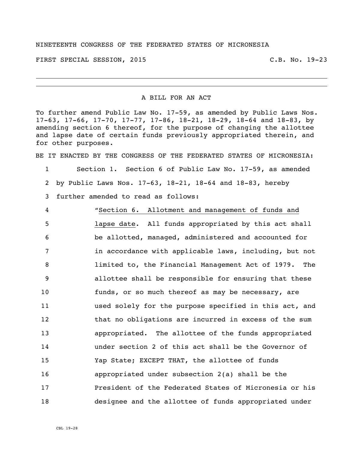## NINETEENTH CONGRESS OF THE FEDERATED STATES OF MICRONESIA

FIRST SPECIAL SESSION, 2015 C.B. No. 19-23

## A BILL FOR AN ACT

To further amend Public Law No. 17-59, as amended by Public Laws Nos. 17-63, 17-66, 17-70, 17-77, 17-86, 18-21, 18-29, 18-64 and 18-83, by amending section 6 thereof, for the purpose of changing the allottee and lapse date of certain funds previously appropriated therein, and for other purposes.

BE IT ENACTED BY THE CONGRESS OF THE FEDERATED STATES OF MICRONESIA:

1 Section 1. Section 6 of Public Law No. 17-59, as amended 2 by Public Laws Nos. 17-63, 18-21, 18-64 and 18-83, hereby

3 further amended to read as follows:

 "Section 6. Allotment and management of funds and lapse date. All funds appropriated by this act shall be allotted, managed, administered and accounted for 7 in accordance with applicable laws, including, but not limited to, the Financial Management Act of 1979. The allottee shall be responsible for ensuring that these funds, or so much thereof as may be necessary, are used solely for the purpose specified in this act, and 12 that no obligations are incurred in excess of the sum appropriated. The allottee of the funds appropriated under section 2 of this act shall be the Governor of Yap State; EXCEPT THAT, the allottee of funds appropriated under subsection 2(a) shall be the President of the Federated States of Micronesia or his designee and the allottee of funds appropriated under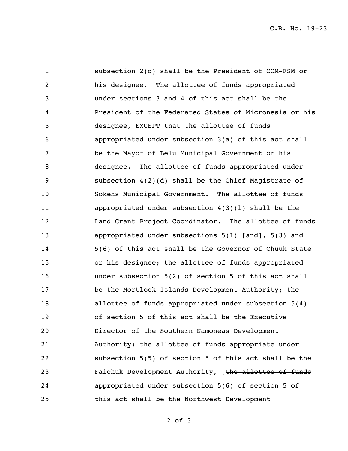C.B. No. 19-23

 subsection 2(c) shall be the President of COM-FSM or his designee. The allottee of funds appropriated under sections 3 and 4 of this act shall be the President of the Federated States of Micronesia or his designee, EXCEPT that the allottee of funds appropriated under subsection 3(a) of this act shall be the Mayor of Lelu Municipal Government or his designee. The allottee of funds appropriated under subsection 4(2)(d) shall be the Chief Magistrate of Sokehs Municipal Government. The allottee of funds appropriated under subsection 4(3)(l) shall be the 12 Land Grant Project Coordinator. The allottee of funds 13 appropriated under subsections 5(1) [and], 5(3) and 5(6) of this act shall be the Governor of Chuuk State or his designee; the allottee of funds appropriated under subsection 5(2) of section 5 of this act shall be the Mortlock Islands Development Authority; the allottee of funds appropriated under subsection 5(4) of section 5 of this act shall be the Executive Director of the Southern Namoneas Development Authority; the allottee of funds appropriate under subsection 5(5) of section 5 of this act shall be the **Faichuk Development Authority,** [the allottee of funds appropriated under subsection 5(6) of section 5 of this act shall be the Northwest Development

of 3